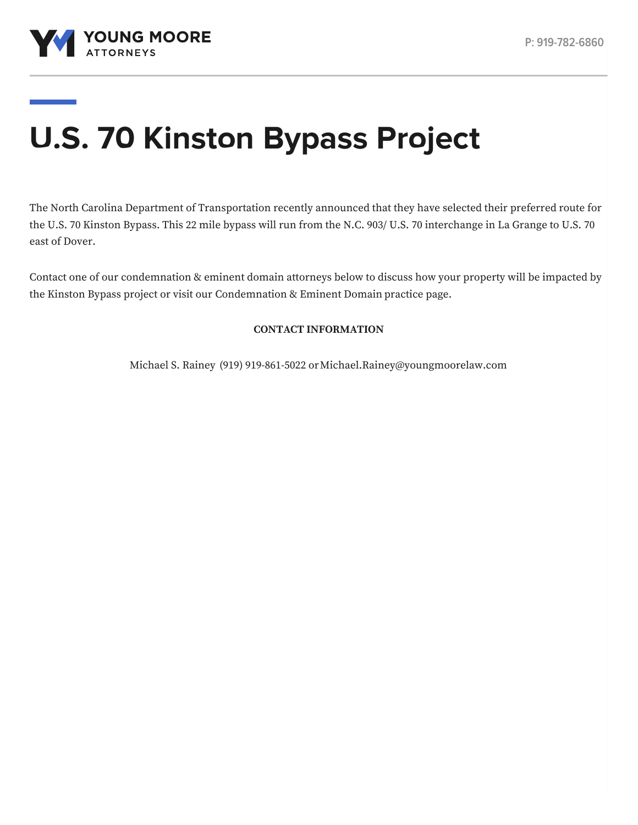

# **U.S. 70 Kinston Bypass Project**

The North Carolina Department of Transportation recently announced that they have selected their preferred route for the U.S. 70 Kinston Bypass. This 22 mile bypass will run from the N.C. 903/ U.S. 70 interchange in La Grange to U.S. 70 east of Dover.

Contact one of our condemnation & eminent domain attorneys below to discuss how your property will be impacted by the Kinston Bypass project or visit our [Condemnation](https://www.youngmoorelaw.com/services/condemnation-eminent-domain/) & Eminent Domain practice page.

# **CONTACT INFORMATION**

[Michael](https://www.youngmoorelaw.com/people/attorneys/michael-rainey/) S. Rainey (919) 919-861-5022 or[Michael.Rainey@youngmoorelaw.com](mailto:Michael.Rainey@youngmoorelaw.com)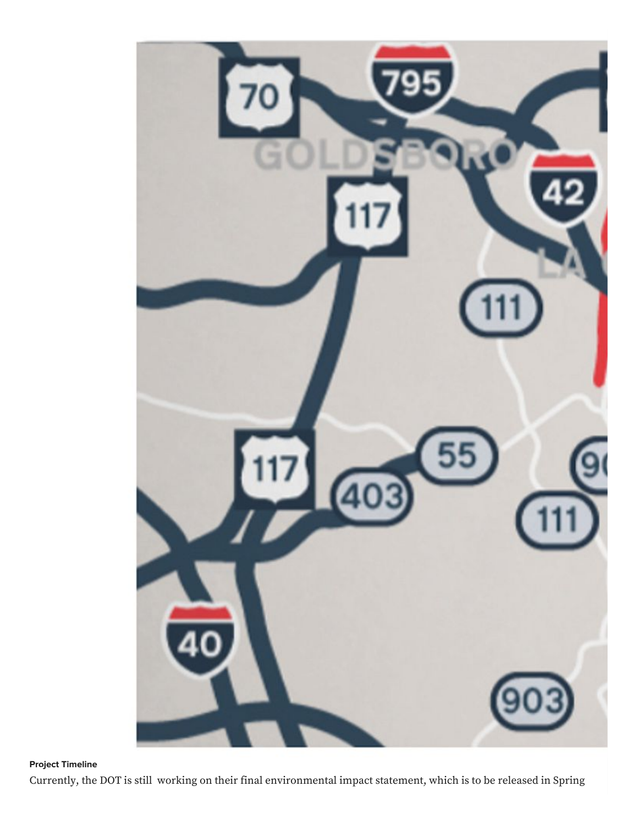

**Project Timeline**

Currently, the DOT is still working on their final environmental impact statement, which is to be released in Spring